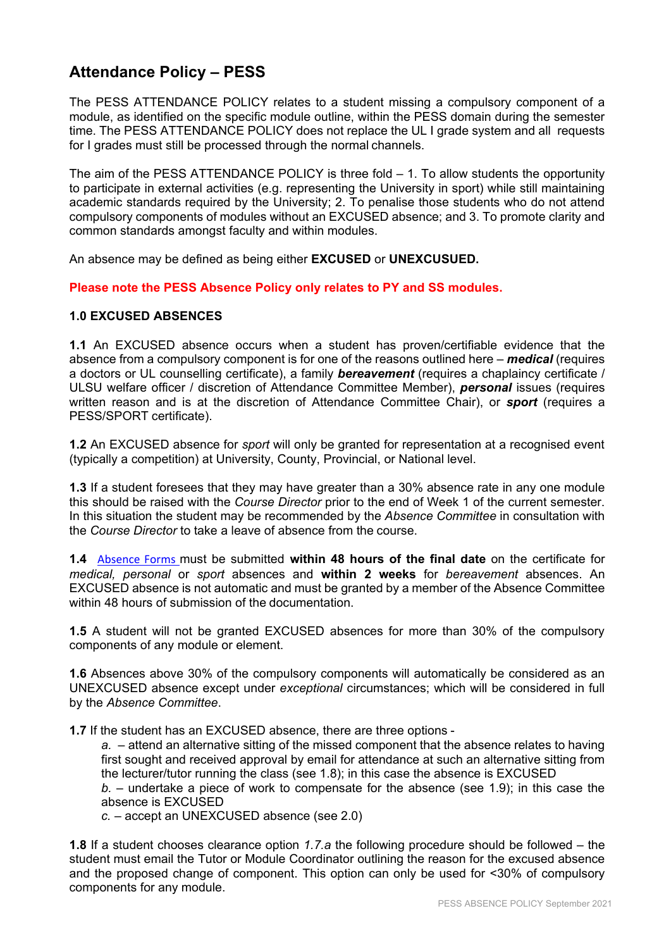# **Attendance Policy – PESS**

The PESS ATTENDANCE POLICY relates to a student missing a compulsory component of a module, as identified on the specific module outline, within the PESS domain during the semester time. The PESS ATTENDANCE POLICY does not replace the UL I grade system and all requests for I grades must still be processed through the normal channels.

The aim of the PESS ATTENDANCE POLICY is three fold – 1. To allow students the opportunity to participate in external activities (e.g. representing the University in sport) while still maintaining academic standards required by the University; 2. To penalise those students who do not attend compulsory components of modules without an EXCUSED absence; and 3. To promote clarity and common standards amongst faculty and within modules.

An absence may be defined as being either **EXCUSED** or **UNEXCUSUED.**

**Please note the PESS Absence Policy only relates to PY and SS modules.**

#### **1.0 EXCUSED ABSENCES**

**1.1** An EXCUSED absence occurs when a student has proven/certifiable evidence that the absence from a compulsory component is for one of the reasons outlined here – *medical* (requires a doctors or UL counselling certificate), a family *bereavement* (requires a chaplaincy certificate / ULSU welfare officer / discretion of Attendance Committee Member), *personal* issues (requires written reason and is at the discretion of Attendance Committee Chair), or *sport* (requires a PESS/SPORT certificate).

**1.2** An EXCUSED absence for *sport* will only be granted for representation at a recognised event (typically a competition) at University, County, Provincial, or National level.

**1.3** If a student foresees that they may have greater than a 30% absence rate in any one module this should be raised with the *Course Director* prior to the end of Week 1 of the current semester. In this situation the student may be recommended by the *Absence Committee* in consultation with the *Course Director* to take a leave of absence from the course.

**1.4** [Absence Forms](https://workflow.ul.ie/AbsenceForms/_layouts/15/FormServer.aspx?XsnLocation=https://workflow.ul.ie/AbsenceForms/AbsenceForms/Forms/template.xsn&SaveLocation=https%3A%2F%2Fworkflow%2Eul%2Eie%2FAbsenceForms%2FAbsenceForms&ClientInstalled=false&DefaultItemOpen=1&Source=https%3A%2F%2Fworkflow%2Eul%2Eie%2FAbsenceForms%2FAbsenceForms%2FForms%2FAllItems%2Easpx) must be submitted **within 48 hours of the final date** on the certificate for *medical, personal* or *sport* absences and **within 2 weeks** for *bereavement* absences. An EXCUSED absence is not automatic and must be granted by a member of the Absence Committee within 48 hours of submission of the documentation

**1.5** A student will not be granted EXCUSED absences for more than 30% of the compulsory components of any module or element.

**1.6** Absences above 30% of the compulsory components will automatically be considered as an UNEXCUSED absence except under *exceptional* circumstances; which will be considered in full by the *Absence Committee*.

**1.7** If the student has an EXCUSED absence, there are three options -

*a. –* attend an alternative sitting of the missed component that the absence relates to having first sought and received approval by email for attendance at such an alternative sitting from the lecturer/tutor running the class (see 1.8); in this case the absence is EXCUSED *b.* – undertake a piece of work to compensate for the absence (see 1.9); in this case the

absence is EXCUSED

*c.* – accept an UNEXCUSED absence (see 2.0)

**1.8** If a student chooses clearance option *1.7.a* the following procedure should be followed – the student must email the Tutor or Module Coordinator outlining the reason for the excused absence and the proposed change of component. This option can only be used for <30% of compulsory components for any module.